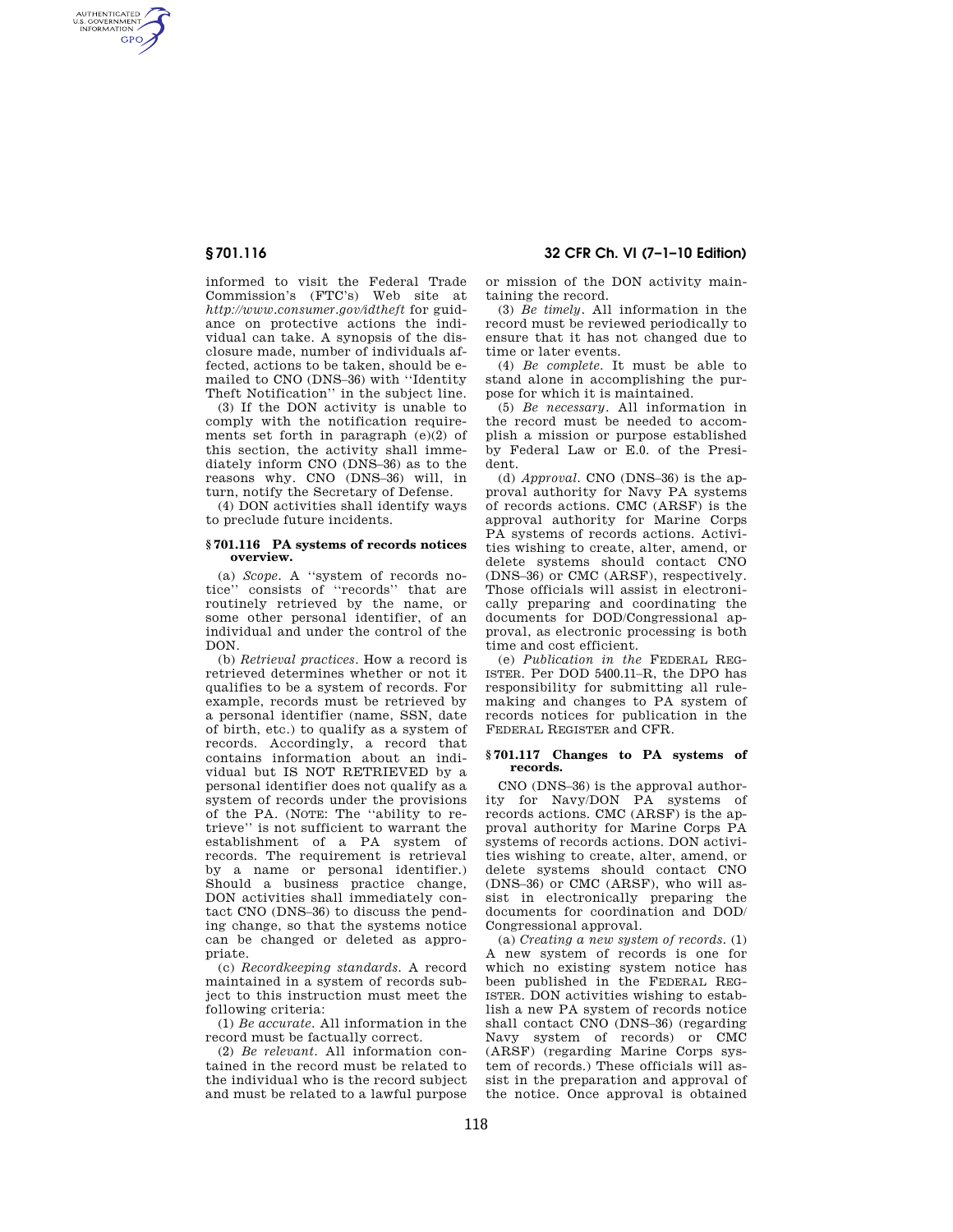AUTHENTICATED<br>U.S. GOVERNMENT<br>INFORMATION **GPO** 

> informed to visit the Federal Trade Commission's (FTC's) Web site at *http://www.consumer.gov/idtheft* for guidance on protective actions the individual can take. A synopsis of the disclosure made, number of individuals affected, actions to be taken, should be emailed to CNO (DNS–36) with ''Identity Theft Notification'' in the subject line.

> (3) If the DON activity is unable to comply with the notification requirements set forth in paragraph  $(e)(2)$  of this section, the activity shall immediately inform CNO (DNS–36) as to the reasons why. CNO (DNS–36) will, in turn, notify the Secretary of Defense.

> (4) DON activities shall identify ways to preclude future incidents.

### **§ 701.116 PA systems of records notices overview.**

(a) *Scope.* A ''system of records notice'' consists of ''records'' that are routinely retrieved by the name, or some other personal identifier, of an individual and under the control of the DON.

(b) *Retrieval practices*. How a record is retrieved determines whether or not it qualifies to be a system of records. For example, records must be retrieved by a personal identifier (name, SSN, date of birth, etc.) to qualify as a system of records. Accordingly, a record that contains information about an individual but IS NOT RETRIEVED by a personal identifier does not qualify as a system of records under the provisions of the PA. (NOTE: The ''ability to retrieve'' is not sufficient to warrant the establishment of a PA system of records. The requirement is retrieval by a name or personal identifier.) Should a business practice change, DON activities shall immediately contact CNO (DNS–36) to discuss the pending change, so that the systems notice can be changed or deleted as appropriate.

(c) *Recordkeeping standards.* A record maintained in a system of records subject to this instruction must meet the following criteria:

(1) *Be accurate.* All information in the record must be factually correct.

(2) *Be relevant.* All information contained in the record must be related to the individual who is the record subject and must be related to a lawful purpose

**§ 701.116 32 CFR Ch. VI (7–1–10 Edition)** 

or mission of the DON activity maintaining the record.

(3) *Be timely.* All information in the record must be reviewed periodically to ensure that it has not changed due to time or later events.

(4) *Be complete.* It must be able to stand alone in accomplishing the purpose for which it is maintained.

(5) *Be necessary.* All information in the record must be needed to accomplish a mission or purpose established by Federal Law or E.0. of the President.

(d) *Approval.* CNO (DNS–36) is the approval authority for Navy PA systems of records actions. CMC (ARSF) is the approval authority for Marine Corps PA systems of records actions. Activities wishing to create, alter, amend, or delete systems should contact CNO (DNS–36) or CMC (ARSF), respectively. Those officials will assist in electronically preparing and coordinating the documents for DOD/Congressional approval, as electronic processing is both time and cost efficient.

(e) *Publication in the* FEDERAL REG-ISTER. Per DOD 5400.11–R, the DPO has responsibility for submitting all rulemaking and changes to PA system of records notices for publication in the FEDERAL REGISTER and CFR.

## **§ 701.117 Changes to PA systems of records.**

CNO (DNS–36) is the approval authority for Navy/DON PA systems of records actions. CMC (ARSF) is the approval authority for Marine Corps PA systems of records actions. DON activities wishing to create, alter, amend, or delete systems should contact CNO (DNS–36) or CMC (ARSF), who will assist in electronically preparing the documents for coordination and DOD/ Congressional approval.

(a) *Creating a new system of records.* (1) A new system of records is one for which no existing system notice has been published in the FEDERAL REG-ISTER. DON activities wishing to establish a new PA system of records notice shall contact CNO (DNS–36) (regarding Navy system of records) or CMC (ARSF) (regarding Marine Corps system of records.) These officials will assist in the preparation and approval of the notice. Once approval is obtained